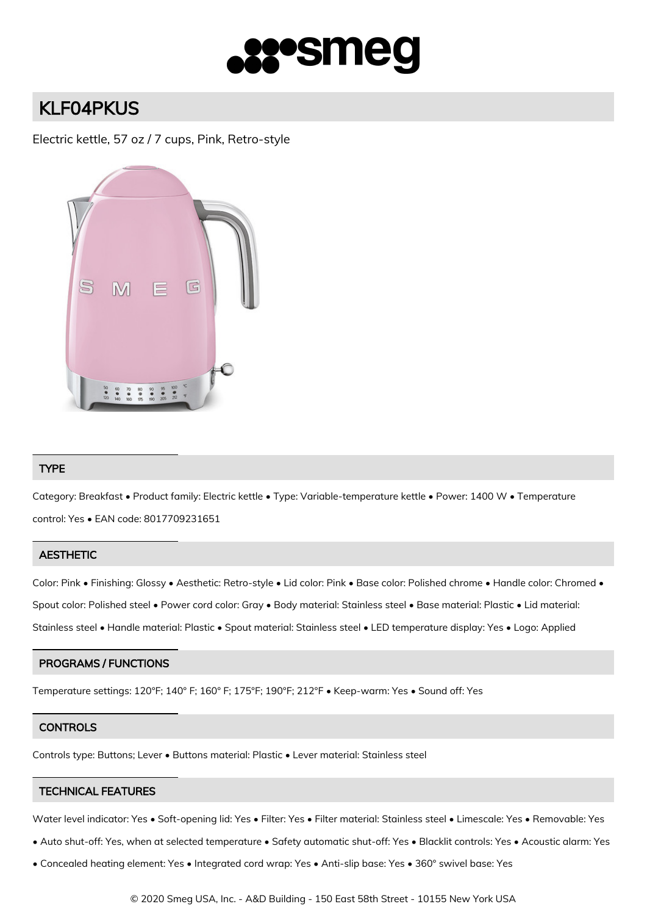

# KLF04PKUS

Electric kettle, 57 oz / 7 cups, Pink, Retro-style



## TYPE

Category: Breakfast • Product family: Electric kettle • Type: Variable-temperature kettle • Power: 1400 W • Temperature control: Yes • EAN code: 8017709231651

## **AESTHETIC**

Color: Pink • Finishing: Glossy • Aesthetic: Retro-style • Lid color: Pink • Base color: Polished chrome • Handle color: Chromed • Spout color: Polished steel • Power cord color: Gray • Body material: Stainless steel • Base material: Plastic • Lid material: Stainless steel • Handle material: Plastic • Spout material: Stainless steel • LED temperature display: Yes • Logo: Applied

## PROGRAMS / FUNCTIONS

Temperature settings: 120°F; 140° F; 160° F; 175°F; 190°F; 212°F • Keep-warm: Yes • Sound off: Yes

## **CONTROLS**

Controls type: Buttons; Lever • Buttons material: Plastic • Lever material: Stainless steel

# TECHNICAL FEATURES

Water level indicator: Yes • Soft-opening lid: Yes • Filter: Yes • Filter material: Stainless steel • Limescale: Yes • Removable: Yes

- Auto shut-off: Yes, when at selected temperature Safety automatic shut-off: Yes Blacklit controls: Yes Acoustic alarm: Yes
- Concealed heating element: Yes Integrated cord wrap: Yes Anti-slip base: Yes 360° swivel base: Yes